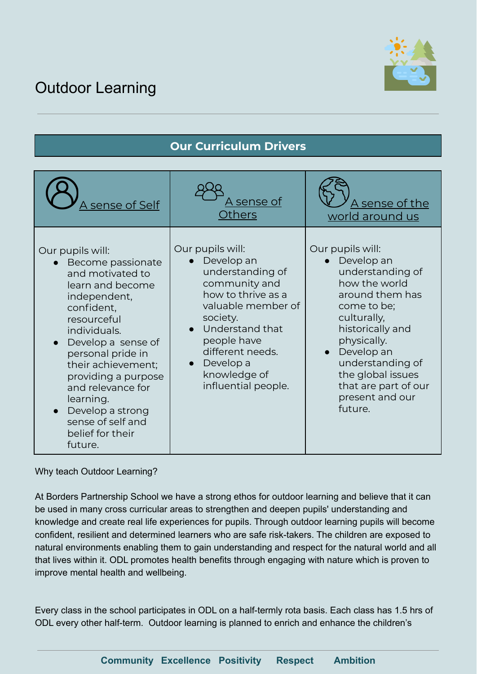## Outdoor Learning



## **Our Curriculum Drivers**

| A sense of Self                                                                                                                                                                                                                                                                                                                              | <u>A sense of</u><br>Others                                                                                                                                                                                                             | A sense of the<br>world around us                                                                                                                                                                                                                                      |
|----------------------------------------------------------------------------------------------------------------------------------------------------------------------------------------------------------------------------------------------------------------------------------------------------------------------------------------------|-----------------------------------------------------------------------------------------------------------------------------------------------------------------------------------------------------------------------------------------|------------------------------------------------------------------------------------------------------------------------------------------------------------------------------------------------------------------------------------------------------------------------|
| Our pupils will:<br>Become passionate<br>and motivated to<br>learn and become<br>independent,<br>confident,<br>resourceful<br>individuals.<br>Develop a sense of<br>personal pride in<br>their achievement;<br>providing a purpose<br>and relevance for<br>learning.<br>Develop a strong<br>sense of self and<br>belief for their<br>future. | Our pupils will:<br>Develop an<br>understanding of<br>community and<br>how to thrive as a<br>valuable member of<br>society.<br>• Understand that<br>people have<br>different needs.<br>Develop a<br>knowledge of<br>influential people. | Our pupils will:<br>• Develop an<br>understanding of<br>how the world<br>around them has<br>come to be;<br>culturally,<br>historically and<br>physically.<br>Develop an<br>understanding of<br>the global issues<br>that are part of our<br>present and our<br>future. |

Why teach Outdoor Learning?

At Borders Partnership School we have a strong ethos for outdoor learning and believe that it can be used in many cross curricular areas to strengthen and deepen pupils' understanding and knowledge and create real life experiences for pupils. Through outdoor learning pupils will become confident, resilient and determined learners who are safe risk-takers. The children are exposed to natural environments enabling them to gain understanding and respect for the natural world and all that lives within it. ODL promotes health benefits through engaging with nature which is proven to improve mental health and wellbeing.

Every class in the school participates in ODL on a half-termly rota basis. Each class has 1.5 hrs of ODL every other half-term. Outdoor learning is planned to enrich and enhance the children's